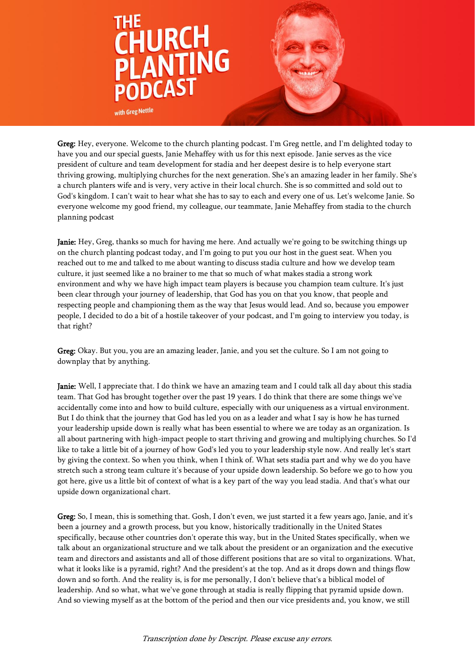

Greg: Hey, everyone. Welcome to the church planting podcast. I'm Greg nettle, and I'm delighted today to have you and our special guests, Janie Mehaffey with us for this next episode. Janie serves as the vice president of culture and team development for stadia and her deepest desire is to help everyone start thriving growing, multiplying churches for the next generation. She's an amazing leader in her family. She's a church planters wife and is very, very active in their local church. She is so committed and sold out to God's kingdom. I can't wait to hear what she has to say to each and every one of us. Let's welcome Janie. So everyone welcome my good friend, my colleague, our teammate, Janie Mehaffey from stadia to the church planning podcast

**Janie:** Hey, Greg, thanks so much for having me here. And actually we're going to be switching things up on the church planting podcast today, and I'm going to put you our host in the guest seat. When you reached out to me and talked to me about wanting to discuss stadia culture and how we develop team culture, it just seemed like a no brainer to me that so much of what makes stadia a strong work environment and why we have high impact team players is because you champion team culture. It's just been clear through your journey of leadership, that God has you on that you know, that people and respecting people and championing them as the way that Jesus would lead. And so, because you empower people, I decided to do a bit of a hostile takeover of your podcast, and I'm going to interview you today, is that right?

Greg: Okay. But you, you are an amazing leader, Janie, and you set the culture. So I am not going to downplay that by anything.

Janie: Well, I appreciate that. I do think we have an amazing team and I could talk all day about this stadia team. That God has brought together over the past 19 years. I do think that there are some things we've accidentally come into and how to build culture, especially with our uniqueness as a virtual environment. But I do think that the journey that God has led you on as a leader and what I say is how he has turned your leadership upside down is really what has been essential to where we are today as an organization. Is all about partnering with high-impact people to start thriving and growing and multiplying churches. So I'd like to take a little bit of a journey of how God's led you to your leadership style now. And really let's start by giving the context. So when you think, when I think of. What sets stadia part and why we do you have stretch such a strong team culture it's because of your upside down leadership. So before we go to how you got here, give us a little bit of context of what is a key part of the way you lead stadia. And that's what our upside down organizational chart.

Greg: So, I mean, this is something that. Gosh, I don't even, we just started it a few years ago, Janie, and it's been a journey and a growth process, but you know, historically traditionally in the United States specifically, because other countries don't operate this way, but in the United States specifically, when we talk about an organizational structure and we talk about the president or an organization and the executive team and directors and assistants and all of those different positions that are so vital to organizations. What, what it looks like is a pyramid, right? And the president's at the top. And as it drops down and things flow down and so forth. And the reality is, is for me personally, I don't believe that's a biblical model of leadership. And so what, what we've gone through at stadia is really flipping that pyramid upside down. And so viewing myself as at the bottom of the period and then our vice presidents and, you know, we still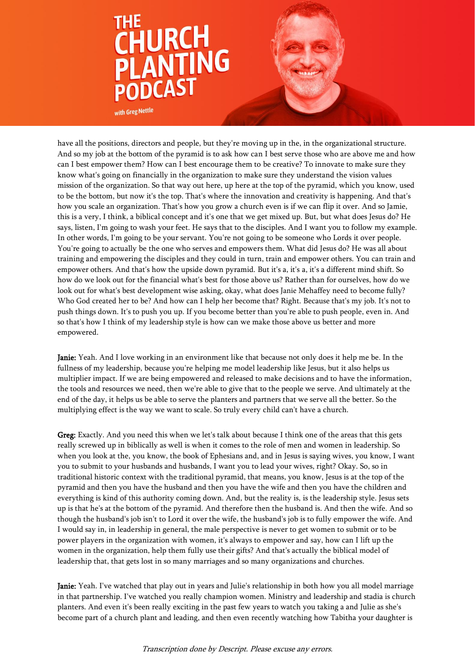

have all the positions, directors and people, but they're moving up in the, in the organizational structure. And so my job at the bottom of the pyramid is to ask how can I best serve those who are above me and how can I best empower them? How can I best encourage them to be creative? To innovate to make sure they know what's going on financially in the organization to make sure they understand the vision values mission of the organization. So that way out here, up here at the top of the pyramid, which you know, used to be the bottom, but now it's the top. That's where the innovation and creativity is happening. And that's how you scale an organization. That's how you grow a church even is if we can flip it over. And so Jamie, this is a very, I think, a biblical concept and it's one that we get mixed up. But, but what does Jesus do? He says, listen, I'm going to wash your feet. He says that to the disciples. And I want you to follow my example. In other words, I'm going to be your servant. You're not going to be someone who Lords it over people. You're going to actually be the one who serves and empowers them. What did Jesus do? He was all about training and empowering the disciples and they could in turn, train and empower others. You can train and empower others. And that's how the upside down pyramid. But it's a, it's a, it's a different mind shift. So how do we look out for the financial what's best for those above us? Rather than for ourselves, how do we look out for what's best development wise asking, okay, what does Janie Mehaffey need to become fully? Who God created her to be? And how can I help her become that? Right. Because that's my job. It's not to push things down. It's to push you up. If you become better than you're able to push people, even in. And so that's how I think of my leadership style is how can we make those above us better and more empowered.

Janie: Yeah. And I love working in an environment like that because not only does it help me be. In the fullness of my leadership, because you're helping me model leadership like Jesus, but it also helps us multiplier impact. If we are being empowered and released to make decisions and to have the information, the tools and resources we need, then we're able to give that to the people we serve. And ultimately at the end of the day, it helps us be able to serve the planters and partners that we serve all the better. So the multiplying effect is the way we want to scale. So truly every child can't have a church.

Greg: Exactly. And you need this when we let's talk about because I think one of the areas that this gets really screwed up in biblically as well is when it comes to the role of men and women in leadership. So when you look at the, you know, the book of Ephesians and, and in Jesus is saying wives, you know, I want you to submit to your husbands and husbands, I want you to lead your wives, right? Okay. So, so in traditional historic context with the traditional pyramid, that means, you know, Jesus is at the top of the pyramid and then you have the husband and then you have the wife and then you have the children and everything is kind of this authority coming down. And, but the reality is, is the leadership style. Jesus sets up is that he's at the bottom of the pyramid. And therefore then the husband is. And then the wife. And so though the husband's job isn't to Lord it over the wife, the husband's job is to fully empower the wife. And I would say in, in leadership in general, the male perspective is never to get women to submit or to be power players in the organization with women, it's always to empower and say, how can I lift up the women in the organization, help them fully use their gifts? And that's actually the biblical model of leadership that, that gets lost in so many marriages and so many organizations and churches.

Janie: Yeah. I've watched that play out in years and Julie's relationship in both how you all model marriage in that partnership. I've watched you really champion women. Ministry and leadership and stadia is church planters. And even it's been really exciting in the past few years to watch you taking a and Julie as she's become part of a church plant and leading, and then even recently watching how Tabitha your daughter is

Transcription done by Descript. Please excuse any errors.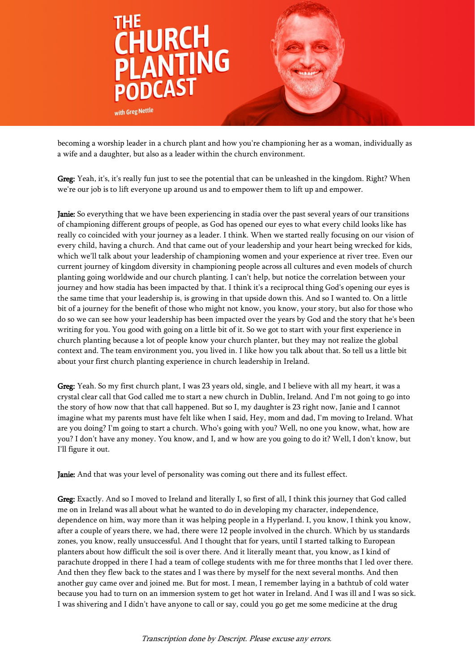

becoming a worship leader in a church plant and how you're championing her as a woman, individually as a wife and a daughter, but also as a leader within the church environment.

Greg: Yeah, it's, it's really fun just to see the potential that can be unleashed in the kingdom. Right? When we're our job is to lift everyone up around us and to empower them to lift up and empower.

Janie: So everything that we have been experiencing in stadia over the past several years of our transitions of championing different groups of people, as God has opened our eyes to what every child looks like has really co coincided with your journey as a leader. I think. When we started really focusing on our vision of every child, having a church. And that came out of your leadership and your heart being wrecked for kids, which we'll talk about your leadership of championing women and your experience at river tree. Even our current journey of kingdom diversity in championing people across all cultures and even models of church planting going worldwide and our church planting. I can't help, but notice the correlation between your journey and how stadia has been impacted by that. I think it's a reciprocal thing God's opening our eyes is the same time that your leadership is, is growing in that upside down this. And so I wanted to. On a little bit of a journey for the benefit of those who might not know, you know, your story, but also for those who do so we can see how your leadership has been impacted over the years by God and the story that he's been writing for you. You good with going on a little bit of it. So we got to start with your first experience in church planting because a lot of people know your church planter, but they may not realize the global context and. The team environment you, you lived in. I like how you talk about that. So tell us a little bit about your first church planting experience in church leadership in Ireland.

Greg: Yeah. So my first church plant, I was 23 years old, single, and I believe with all my heart, it was a crystal clear call that God called me to start a new church in Dublin, Ireland. And I'm not going to go into the story of how now that that call happened. But so I, my daughter is 23 right now, Janie and I cannot imagine what my parents must have felt like when I said, Hey, mom and dad, I'm moving to Ireland. What are you doing? I'm going to start a church. Who's going with you? Well, no one you know, what, how are you? I don't have any money. You know, and I, and w how are you going to do it? Well, I don't know, but I'll figure it out.

Janie: And that was your level of personality was coming out there and its fullest effect.

Greg: Exactly. And so I moved to Ireland and literally I, so first of all, I think this journey that God called me on in Ireland was all about what he wanted to do in developing my character, independence, dependence on him, way more than it was helping people in a Hyperland. I, you know, I think you know, after a couple of years there, we had, there were 12 people involved in the church. Which by us standards zones, you know, really unsuccessful. And I thought that for years, until I started talking to European planters about how difficult the soil is over there. And it literally meant that, you know, as I kind of parachute dropped in there I had a team of college students with me for three months that I led over there. And then they flew back to the states and I was there by myself for the next several months. And then another guy came over and joined me. But for most. I mean, I remember laying in a bathtub of cold water because you had to turn on an immersion system to get hot water in Ireland. And I was ill and I was so sick. I was shivering and I didn't have anyone to call or say, could you go get me some medicine at the drug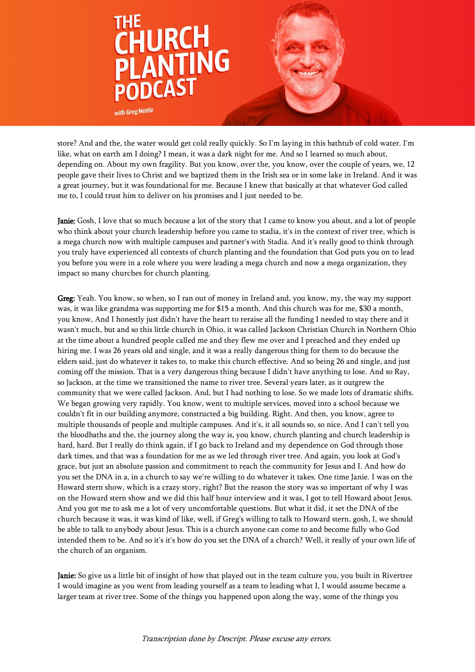

store? And and the, the water would get cold really quickly. So I'm laying in this bathtub of cold water. I'm like, what on earth am I doing? I mean, it was a dark night for me. And so I learned so much about, depending on. About my own fragility. But you know, over the, you know, over the couple of years, we, 12 people gave their lives to Christ and we baptized them in the Irish sea or in some lake in Ireland. And it was a great journey, but it was foundational for me. Because I knew that basically at that whatever God called me to, I could trust him to deliver on his promises and I just needed to be.

**Janie:** Gosh, I love that so much because a lot of the story that I came to know you about, and a lot of people who think about your church leadership before you came to stadia, it's in the context of river tree, which is a mega church now with multiple campuses and partner's with Stadia. And it's really good to think through you truly have experienced all contexts of church planting and the foundation that God puts you on to lead you before you were in a role where you were leading a mega church and now a mega organization, they impact so many churches for church planting.

Greg: Yeah. You know, so when, so I ran out of money in Ireland and, you know, my, the way my support was, it was like grandma was supporting me for \$15 a month. And this church was for me, \$30 a month, you know, And I honestly just didn't have the heart to reraise all the funding I needed to stay there and it wasn't much, but and so this little church in Ohio, it was called Jackson Christian Church in Northern Ohio at the time about a hundred people called me and they flew me over and I preached and they ended up hiring me. I was 26 years old and single, and it was a really dangerous thing for them to do because the elders said, just do whatever it takes to, to make this church effective. And so being 26 and single, and just coming off the mission. That is a very dangerous thing because I didn't have anything to lose. And so Ray, so Jackson, at the time we transitioned the name to river tree. Several years later, as it outgrew the community that we were called Jackson. And, but I had nothing to lose. So we made lots of dramatic shifts. We began growing very rapidly. You know, went to multiple services, moved into a school because we couldn't fit in our building anymore, constructed a big building. Right. And then, you know, agree to multiple thousands of people and multiple campuses. And it's, it all sounds so, so nice. And I can't tell you the bloodbaths and the, the journey along the way is, you know, church planting and church leadership is hard, hard. But I really do think again, if I go back to Ireland and my dependence on God through those dark times, and that was a foundation for me as we led through river tree. And again, you look at God's grace, but just an absolute passion and commitment to reach the community for Jesus and I. And how do you set the DNA in a, in a church to say we're willing to do whatever it takes. One time Janie. I was on the Howard stern show, which is a crazy story, right? But the reason the story was so important of why I was on the Howard stern show and we did this half hour interview and it was, I got to tell Howard about Jesus. And you got me to ask me a lot of very uncomfortable questions. But what it did, it set the DNA of the church because it was, it was kind of like, well, if Greg's willing to talk to Howard stern, gosh, I, we should be able to talk to anybody about Jesus. This is a church anyone can come to and become fully who God intended them to be. And so it's it's how do you set the DNA of a church? Well, it really of your own life of the church of an organism.

**Janie:** So give us a little bit of insight of how that played out in the team culture you, you built in Rivertree I would imagine as you went from leading yourself as a team to leading what I, I would assume became a larger team at river tree. Some of the things you happened upon along the way, some of the things you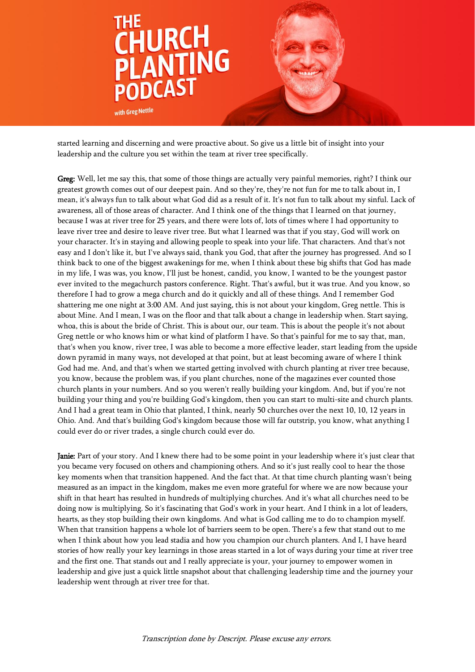

started learning and discerning and were proactive about. So give us a little bit of insight into your leadership and the culture you set within the team at river tree specifically.

Greg: Well, let me say this, that some of those things are actually very painful memories, right? I think our greatest growth comes out of our deepest pain. And so they're, they're not fun for me to talk about in, I mean, it's always fun to talk about what God did as a result of it. It's not fun to talk about my sinful. Lack of awareness, all of those areas of character. And I think one of the things that I learned on that journey, because I was at river tree for 25 years, and there were lots of, lots of times where I had opportunity to leave river tree and desire to leave river tree. But what I learned was that if you stay, God will work on your character. It's in staying and allowing people to speak into your life. That characters. And that's not easy and I don't like it, but I've always said, thank you God, that after the journey has progressed. And so I think back to one of the biggest awakenings for me, when I think about these big shifts that God has made in my life, I was was, you know, I'll just be honest, candid, you know, I wanted to be the youngest pastor ever invited to the megachurch pastors conference. Right. That's awful, but it was true. And you know, so therefore I had to grow a mega church and do it quickly and all of these things. And I remember God shattering me one night at 3:00 AM. And just saying, this is not about your kingdom, Greg nettle. This is about Mine. And I mean, I was on the floor and that talk about a change in leadership when. Start saying, whoa, this is about the bride of Christ. This is about our, our team. This is about the people it's not about Greg nettle or who knows him or what kind of platform I have. So that's painful for me to say that, man, that's when you know, river tree, I was able to become a more effective leader, start leading from the upside down pyramid in many ways, not developed at that point, but at least becoming aware of where I think God had me. And, and that's when we started getting involved with church planting at river tree because, you know, because the problem was, if you plant churches, none of the magazines ever counted those church plants in your numbers. And so you weren't really building your kingdom. And, but if you're not building your thing and you're building God's kingdom, then you can start to multi-site and church plants. And I had a great team in Ohio that planted, I think, nearly 50 churches over the next 10, 10, 12 years in Ohio. And. And that's building God's kingdom because those will far outstrip, you know, what anything I could ever do or river trades, a single church could ever do.

Janie: Part of your story. And I knew there had to be some point in your leadership where it's just clear that you became very focused on others and championing others. And so it's just really cool to hear the those key moments when that transition happened. And the fact that. At that time church planting wasn't being measured as an impact in the kingdom, makes me even more grateful for where we are now because your shift in that heart has resulted in hundreds of multiplying churches. And it's what all churches need to be doing now is multiplying. So it's fascinating that God's work in your heart. And I think in a lot of leaders, hearts, as they stop building their own kingdoms. And what is God calling me to do to champion myself. When that transition happens a whole lot of barriers seem to be open. There's a few that stand out to me when I think about how you lead stadia and how you champion our church planters. And I, I have heard stories of how really your key learnings in those areas started in a lot of ways during your time at river tree and the first one. That stands out and I really appreciate is your, your journey to empower women in leadership and give just a quick little snapshot about that challenging leadership time and the journey your leadership went through at river tree for that.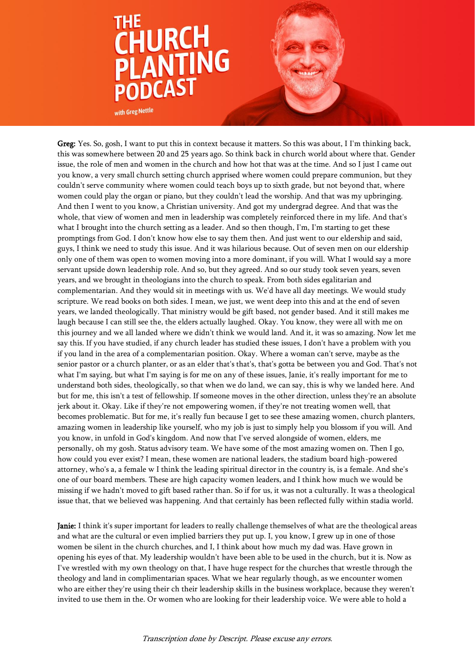

Greg: Yes. So, gosh, I want to put this in context because it matters. So this was about, I I'm thinking back, this was somewhere between 20 and 25 years ago. So think back in church world about where that. Gender issue, the role of men and women in the church and how hot that was at the time. And so I just I came out you know, a very small church setting church apprised where women could prepare communion, but they couldn't serve community where women could teach boys up to sixth grade, but not beyond that, where women could play the organ or piano, but they couldn't lead the worship. And that was my upbringing. And then I went to you know, a Christian university. And got my undergrad degree. And that was the whole, that view of women and men in leadership was completely reinforced there in my life. And that's what I brought into the church setting as a leader. And so then though, I'm, I'm starting to get these promptings from God. I don't know how else to say them then. And just went to our eldership and said, guys, I think we need to study this issue. And it was hilarious because. Out of seven men on our eldership only one of them was open to women moving into a more dominant, if you will. What I would say a more servant upside down leadership role. And so, but they agreed. And so our study took seven years, seven years, and we brought in theologians into the church to speak. From both sides egalitarian and complementarian. And they would sit in meetings with us. We'd have all day meetings. We would study scripture. We read books on both sides. I mean, we just, we went deep into this and at the end of seven years, we landed theologically. That ministry would be gift based, not gender based. And it still makes me laugh because I can still see the, the elders actually laughed. Okay. You know, they were all with me on this journey and we all landed where we didn't think we would land. And it, it was so amazing. Now let me say this. If you have studied, if any church leader has studied these issues, I don't have a problem with you if you land in the area of a complementarian position. Okay. Where a woman can't serve, maybe as the senior pastor or a church planter, or as an elder that's that's, that's gotta be between you and God. That's not what I'm saying, but what I'm saying is for me on any of these issues, Janie, it's really important for me to understand both sides, theologically, so that when we do land, we can say, this is why we landed here. And but for me, this isn't a test of fellowship. If someone moves in the other direction, unless they're an absolute jerk about it. Okay. Like if they're not empowering women, if they're not treating women well, that becomes problematic. But for me, it's really fun because I get to see these amazing women, church planters, amazing women in leadership like yourself, who my job is just to simply help you blossom if you will. And you know, in unfold in God's kingdom. And now that I've served alongside of women, elders, me personally, oh my gosh. Status advisory team. We have some of the most amazing women on. Then I go, how could you ever exist? I mean, these women are national leaders, the stadium board high-powered attorney, who's a, a female w I think the leading spiritual director in the country is, is a female. And she's one of our board members. These are high capacity women leaders, and I think how much we would be missing if we hadn't moved to gift based rather than. So if for us, it was not a culturally. It was a theological issue that, that we believed was happening. And that certainly has been reflected fully within stadia world.

Janie: I think it's super important for leaders to really challenge themselves of what are the theological areas and what are the cultural or even implied barriers they put up. I, you know, I grew up in one of those women be silent in the church churches, and I, I think about how much my dad was. Have grown in opening his eyes of that. My leadership wouldn't have been able to be used in the church, but it is. Now as I've wrestled with my own theology on that, I have huge respect for the churches that wrestle through the theology and land in complimentarian spaces. What we hear regularly though, as we encounter women who are either they're using their ch their leadership skills in the business workplace, because they weren't invited to use them in the. Or women who are looking for their leadership voice. We were able to hold a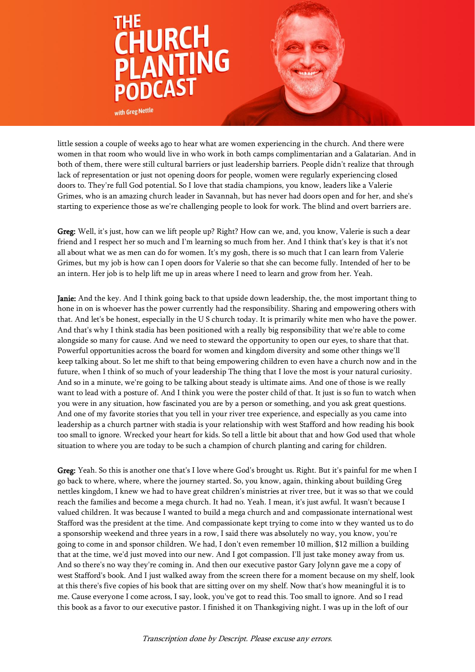

little session a couple of weeks ago to hear what are women experiencing in the church. And there were women in that room who would live in who work in both camps complimentarian and a Galatarian. And in both of them, there were still cultural barriers or just leadership barriers. People didn't realize that through lack of representation or just not opening doors for people, women were regularly experiencing closed doors to. They're full God potential. So I love that stadia champions, you know, leaders like a Valerie Grimes, who is an amazing church leader in Savannah, but has never had doors open and for her, and she's starting to experience those as we're challenging people to look for work. The blind and overt barriers are.

Greg: Well, it's just, how can we lift people up? Right? How can we, and, you know, Valerie is such a dear friend and I respect her so much and I'm learning so much from her. And I think that's key is that it's not all about what we as men can do for women. It's my gosh, there is so much that I can learn from Valerie Grimes, but my job is how can I open doors for Valerie so that she can become fully. Intended of her to be an intern. Her job is to help lift me up in areas where I need to learn and grow from her. Yeah.

Janie: And the key. And I think going back to that upside down leadership, the, the most important thing to hone in on is whoever has the power currently had the responsibility. Sharing and empowering others with that. And let's be honest, especially in the U S church today. It is primarily white men who have the power. And that's why I think stadia has been positioned with a really big responsibility that we're able to come alongside so many for cause. And we need to steward the opportunity to open our eyes, to share that that. Powerful opportunities across the board for women and kingdom diversity and some other things we'll keep talking about. So let me shift to that being empowering children to even have a church now and in the future, when I think of so much of your leadership The thing that I love the most is your natural curiosity. And so in a minute, we're going to be talking about steady is ultimate aims. And one of those is we really want to lead with a posture of. And I think you were the poster child of that. It just is so fun to watch when you were in any situation, how fascinated you are by a person or something, and you ask great questions. And one of my favorite stories that you tell in your river tree experience, and especially as you came into leadership as a church partner with stadia is your relationship with west Stafford and how reading his book too small to ignore. Wrecked your heart for kids. So tell a little bit about that and how God used that whole situation to where you are today to be such a champion of church planting and caring for children.

Greg: Yeah. So this is another one that's I love where God's brought us. Right. But it's painful for me when I go back to where, where, where the journey started. So, you know, again, thinking about building Greg nettles kingdom, I knew we had to have great children's ministries at river tree, but it was so that we could reach the families and become a mega church. It had no. Yeah. I mean, it's just awful. It wasn't because I valued children. It was because I wanted to build a mega church and and compassionate international west Stafford was the president at the time. And compassionate kept trying to come into w they wanted us to do a sponsorship weekend and three years in a row, I said there was absolutely no way, you know, you're going to come in and sponsor children. We had, I don't even remember 10 million, \$12 million a building that at the time, we'd just moved into our new. And I got compassion. I'll just take money away from us. And so there's no way they're coming in. And then our executive pastor Gary Jolynn gave me a copy of west Stafford's book. And I just walked away from the screen there for a moment because on my shelf, look at this there's five copies of his book that are sitting over on my shelf. Now that's how meaningful it is to me. Cause everyone I come across, I say, look, you've got to read this. Too small to ignore. And so I read this book as a favor to our executive pastor. I finished it on Thanksgiving night. I was up in the loft of our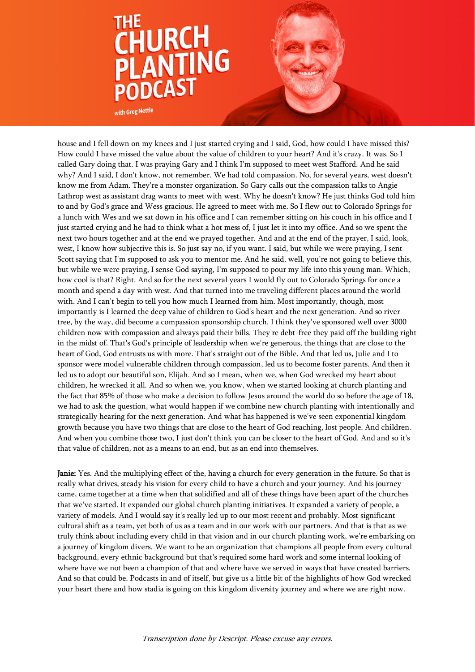

house and I fell down on my knees and I just started crying and I said, God, how could I have missed this? How could I have missed the value about the value of children to your heart? And it's crazy. It was. So I called Gary doing that. I was praying Gary and I think I'm supposed to meet west Stafford. And he said why? And I said, I don't know, not remember. We had told compassion. No, for several years, west doesn't know me from Adam. They're a monster organization. So Gary calls out the compassion talks to Angie Lathrop west as assistant drag wants to meet with west. Why he doesn't know? He just thinks God told him to and by God's grace and Wess gracious. He agreed to meet with me. So I flew out to Colorado Springs for a lunch with Wes and we sat down in his office and I can remember sitting on his couch in his office and I just started crying and he had to think what a hot mess of, I just let it into my office. And so we spent the next two hours together and at the end we prayed together. And and at the end of the prayer, I said, look, west, I know how subjective this is. So just say no, if you want. I said, but while we were praying, I sent Scott saying that I'm supposed to ask you to mentor me. And he said, well, you're not going to believe this, but while we were praying, I sense God saying, I'm supposed to pour my life into this young man. Which, how cool is that? Right. And so for the next several years I would fly out to Colorado Springs for once a month and spend a day with west. And that turned into me traveling different places around the world with. And I can't begin to tell you how much I learned from him. Most importantly, though, most importantly is I learned the deep value of children to God's heart and the next generation. And so river tree, by the way, did become a compassion sponsorship church. I think they've sponsored well over 3000 children now with compassion and always paid their bills. They're debt-free they paid off the building right in the midst of. That's God's principle of leadership when we're generous, the things that are close to the heart of God, God entrusts us with more. That's straight out of the Bible. And that led us, Julie and I to sponsor were model vulnerable children through compassion, led us to become foster parents. And then it led us to adopt our beautiful son, Elijah. And so I mean, when we, when God wrecked my heart about children, he wrecked it all. And so when we, you know, when we started looking at church planting and the fact that 85% of those who make a decision to follow Jesus around the world do so before the age of 18, we had to ask the question, what would happen if we combine new church planting with intentionally and strategically hearing for the next generation. And what has happened is we've seen exponential kingdom growth because you have two things that are close to the heart of God reaching, lost people. And children. And when you combine those two, I just don't think you can be closer to the heart of God. And and so it's that value of children, not as a means to an end, but as an end into themselves.

Janie: Yes. And the multiplying effect of the, having a church for every generation in the future. So that is really what drives, steady his vision for every child to have a church and your journey. And his journey came, came together at a time when that solidified and all of these things have been apart of the churches that we've started. It expanded our global church planting initiatives. It expanded a variety of people, a variety of models. And I would say it's really led up to our most recent and probably. Most significant cultural shift as a team, yet both of us as a team and in our work with our partners. And that is that as we truly think about including every child in that vision and in our church planting work, we're embarking on a journey of kingdom divers. We want to be an organization that champions all people from every cultural background, every ethnic background but that's required some hard work and some internal looking of where have we not been a champion of that and where have we served in ways that have created barriers. And so that could be. Podcasts in and of itself, but give us a little bit of the highlights of how God wrecked your heart there and how stadia is going on this kingdom diversity journey and where we are right now.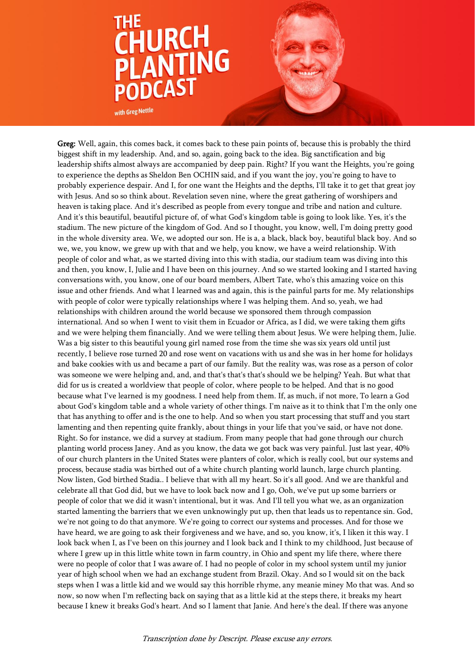

Greg: Well, again, this comes back, it comes back to these pain points of, because this is probably the third biggest shift in my leadership. And, and so, again, going back to the idea. Big sanctification and big leadership shifts almost always are accompanied by deep pain. Right? If you want the Heights, you're going to experience the depths as Sheldon Ben OCHIN said, and if you want the joy, you're going to have to probably experience despair. And I, for one want the Heights and the depths, I'll take it to get that great joy with Jesus. And so so think about. Revelation seven nine, where the great gathering of worshipers and heaven is taking place. And it's described as people from every tongue and tribe and nation and culture. And it's this beautiful, beautiful picture of, of what God's kingdom table is going to look like. Yes, it's the stadium. The new picture of the kingdom of God. And so I thought, you know, well, I'm doing pretty good in the whole diversity area. We, we adopted our son. He is a, a black, black boy, beautiful black boy. And so we, we, you know, we grew up with that and we help, you know, we have a weird relationship. With people of color and what, as we started diving into this with stadia, our stadium team was diving into this and then, you know, I, Julie and I have been on this journey. And so we started looking and I started having conversations with, you know, one of our board members, Albert Tate, who's this amazing voice on this issue and other friends. And what I learned was and again, this is the painful parts for me. My relationships with people of color were typically relationships where I was helping them. And so, yeah, we had relationships with children around the world because we sponsored them through compassion international. And so when I went to visit them in Ecuador or Africa, as I did, we were taking them gifts and we were helping them financially. And we were telling them about Jesus. We were helping them, Julie. Was a big sister to this beautiful young girl named rose from the time she was six years old until just recently, I believe rose turned 20 and rose went on vacations with us and she was in her home for holidays and bake cookies with us and became a part of our family. But the reality was, was rose as a person of color was someone we were helping and, and, and that's that's that's should we be helping? Yeah. But what that did for us is created a worldview that people of color, where people to be helped. And that is no good because what I've learned is my goodness. I need help from them. If, as much, if not more, To learn a God about God's kingdom table and a whole variety of other things. I'm naive as it to think that I'm the only one that has anything to offer and is the one to help. And so when you start processing that stuff and you start lamenting and then repenting quite frankly, about things in your life that you've said, or have not done. Right. So for instance, we did a survey at stadium. From many people that had gone through our church planting world process Janey. And as you know, the data we got back was very painful. Just last year, 40% of our church planters in the United States were planters of color, which is really cool, but our systems and process, because stadia was birthed out of a white church planting world launch, large church planting. Now listen, God birthed Stadia.. I believe that with all my heart. So it's all good. And we are thankful and celebrate all that God did, but we have to look back now and I go, Ooh, we've put up some barriers or people of color that we did it wasn't intentional, but it was. And I'll tell you what we, as an organization started lamenting the barriers that we even unknowingly put up, then that leads us to repentance sin. God, we're not going to do that anymore. We're going to correct our systems and processes. And for those we have heard, we are going to ask their forgiveness and we have, and so, you know, it's, I liken it this way. I look back when I, as I've been on this journey and I look back and I think to my childhood, Just because of where I grew up in this little white town in farm country, in Ohio and spent my life there, where there were no people of color that I was aware of. I had no people of color in my school system until my junior year of high school when we had an exchange student from Brazil. Okay. And so I would sit on the back steps when I was a little kid and we would say this horrible rhyme, any meanie miney Mo that was. And so now, so now when I'm reflecting back on saying that as a little kid at the steps there, it breaks my heart because I knew it breaks God's heart. And so I lament that Janie. And here's the deal. If there was anyone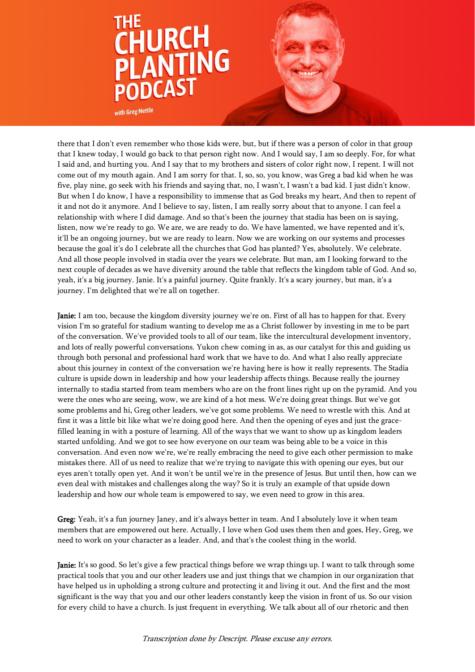

there that I don't even remember who those kids were, but, but if there was a person of color in that group that I knew today, I would go back to that person right now. And I would say, I am so deeply. For, for what I said and, and hurting you. And I say that to my brothers and sisters of color right now, I repent. I will not come out of my mouth again. And I am sorry for that. I, so, so, you know, was Greg a bad kid when he was five, play nine, go seek with his friends and saying that, no, I wasn't, I wasn't a bad kid. I just didn't know. But when I do know, I have a responsibility to immense that as God breaks my heart, And then to repent of it and not do it anymore. And I believe to say, listen, I am really sorry about that to anyone. I can feel a relationship with where I did damage. And so that's been the journey that stadia has been on is saying, listen, now we're ready to go. We are, we are ready to do. We have lamented, we have repented and it's, it'll be an ongoing journey, but we are ready to learn. Now we are working on our systems and processes because the goal it's do I celebrate all the churches that God has planted? Yes, absolutely. We celebrate. And all those people involved in stadia over the years we celebrate. But man, am I looking forward to the next couple of decades as we have diversity around the table that reflects the kingdom table of God. And so, yeah, it's a big journey. Janie. It's a painful journey. Quite frankly. It's a scary journey, but man, it's a journey. I'm delighted that we're all on together.

**Janie:** I am too, because the kingdom diversity journey we're on. First of all has to happen for that. Every vision I'm so grateful for stadium wanting to develop me as a Christ follower by investing in me to be part of the conversation. We've provided tools to all of our team, like the intercultural development inventory, and lots of really powerful conversations. Yukon chew coming in as, as our catalyst for this and guiding us through both personal and professional hard work that we have to do. And what I also really appreciate about this journey in context of the conversation we're having here is how it really represents. The Stadia culture is upside down in leadership and how your leadership affects things. Because really the journey internally to stadia started from team members who are on the front lines right up on the pyramid. And you were the ones who are seeing, wow, we are kind of a hot mess. We're doing great things. But we've got some problems and hi, Greg other leaders, we've got some problems. We need to wrestle with this. And at first it was a little bit like what we're doing good here. And then the opening of eyes and just the gracefilled leaning in with a posture of learning. All of the ways that we want to show up as kingdom leaders started unfolding. And we got to see how everyone on our team was being able to be a voice in this conversation. And even now we're, we're really embracing the need to give each other permission to make mistakes there. All of us need to realize that we're trying to navigate this with opening our eyes, but our eyes aren't totally open yet. And it won't be until we're in the presence of Jesus. But until then, how can we even deal with mistakes and challenges along the way? So it is truly an example of that upside down leadership and how our whole team is empowered to say, we even need to grow in this area.

Greg: Yeah, it's a fun journey Janey, and it's always better in team. And I absolutely love it when team members that are empowered out here. Actually, I love when God uses them then and goes, Hey, Greg, we need to work on your character as a leader. And, and that's the coolest thing in the world.

Janie: It's so good. So let's give a few practical things before we wrap things up. I want to talk through some practical tools that you and our other leaders use and just things that we champion in our organization that have helped us in upholding a strong culture and protecting it and living it out. And the first and the most significant is the way that you and our other leaders constantly keep the vision in front of us. So our vision for every child to have a church. Is just frequent in everything. We talk about all of our rhetoric and then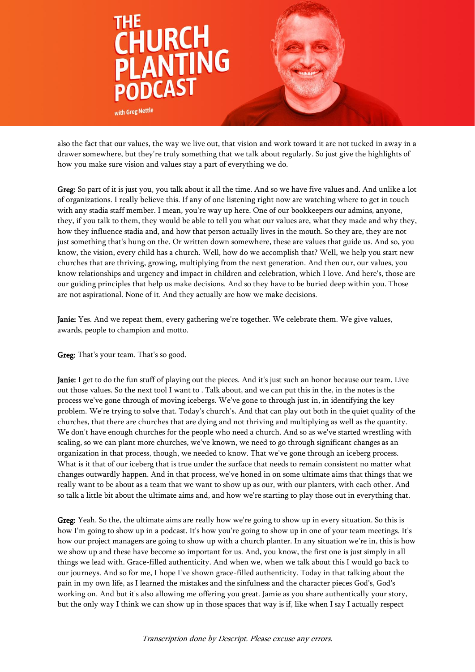

also the fact that our values, the way we live out, that vision and work toward it are not tucked in away in a drawer somewhere, but they're truly something that we talk about regularly. So just give the highlights of how you make sure vision and values stay a part of everything we do.

Greg: So part of it is just you, you talk about it all the time. And so we have five values and. And unlike a lot of organizations. I really believe this. If any of one listening right now are watching where to get in touch with any stadia staff member. I mean, you're way up here. One of our bookkeepers our admins, anyone, they, if you talk to them, they would be able to tell you what our values are, what they made and why they, how they influence stadia and, and how that person actually lives in the mouth. So they are, they are not just something that's hung on the. Or written down somewhere, these are values that guide us. And so, you know, the vision, every child has a church. Well, how do we accomplish that? Well, we help you start new churches that are thriving, growing, multiplying from the next generation. And then our, our values, you know relationships and urgency and impact in children and celebration, which I love. And here's, those are our guiding principles that help us make decisions. And so they have to be buried deep within you. Those are not aspirational. None of it. And they actually are how we make decisions.

Janie: Yes. And we repeat them, every gathering we're together. We celebrate them. We give values, awards, people to champion and motto.

Greg: That's your team. That's so good.

Janie: I get to do the fun stuff of playing out the pieces. And it's just such an honor because our team. Live out those values. So the next tool I want to . Talk about, and we can put this in the, in the notes is the process we've gone through of moving icebergs. We've gone to through just in, in identifying the key problem. We're trying to solve that. Today's church's. And that can play out both in the quiet quality of the churches, that there are churches that are dying and not thriving and multiplying as well as the quantity. We don't have enough churches for the people who need a church. And so as we've started wrestling with scaling, so we can plant more churches, we've known, we need to go through significant changes as an organization in that process, though, we needed to know. That we've gone through an iceberg process. What is it that of our iceberg that is true under the surface that needs to remain consistent no matter what changes outwardly happen. And in that process, we've honed in on some ultimate aims that things that we really want to be about as a team that we want to show up as our, with our planters, with each other. And so talk a little bit about the ultimate aims and, and how we're starting to play those out in everything that.

Greg: Yeah. So the, the ultimate aims are really how we're going to show up in every situation. So this is how I'm going to show up in a podcast. It's how you're going to show up in one of your team meetings. It's how our project managers are going to show up with a church planter. In any situation we're in, this is how we show up and these have become so important for us. And, you know, the first one is just simply in all things we lead with. Grace-filled authenticity. And when we, when we talk about this I would go back to our journeys. And so for me, I hope I've shown grace-filled authenticity. Today in that talking about the pain in my own life, as I learned the mistakes and the sinfulness and the character pieces God's, God's working on. And but it's also allowing me offering you great. Jamie as you share authentically your story, but the only way I think we can show up in those spaces that way is if, like when I say I actually respect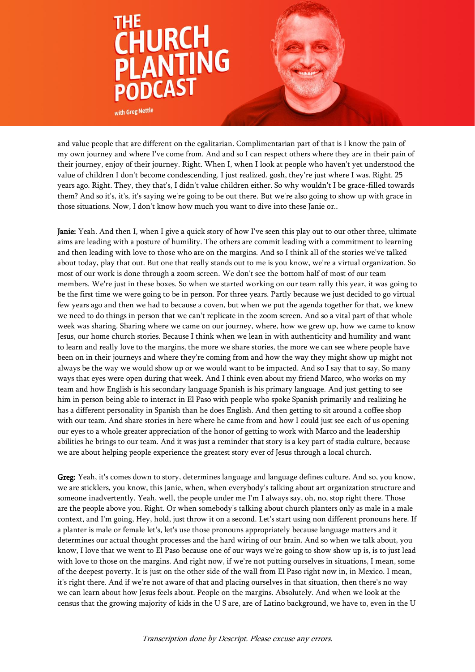

and value people that are different on the egalitarian. Complimentarian part of that is I know the pain of my own journey and where I've come from. And and so I can respect others where they are in their pain of their journey, enjoy of their journey. Right. When I, when I look at people who haven't yet understood the value of children I don't become condescending. I just realized, gosh, they're just where I was. Right. 25 years ago. Right. They, they that's, I didn't value children either. So why wouldn't I be grace-filled towards them? And so it's, it's, it's saying we're going to be out there. But we're also going to show up with grace in those situations. Now, I don't know how much you want to dive into these Janie or..

Janie: Yeah. And then I, when I give a quick story of how I've seen this play out to our other three, ultimate aims are leading with a posture of humility. The others are commit leading with a commitment to learning and then leading with love to those who are on the margins. And so I think all of the stories we've talked about today, play that out. But one that really stands out to me is you know, we're a virtual organization. So most of our work is done through a zoom screen. We don't see the bottom half of most of our team members. We're just in these boxes. So when we started working on our team rally this year, it was going to be the first time we were going to be in person. For three years. Partly because we just decided to go virtual few years ago and then we had to because a coven, but when we put the agenda together for that, we knew we need to do things in person that we can't replicate in the zoom screen. And so a vital part of that whole week was sharing. Sharing where we came on our journey, where, how we grew up, how we came to know Jesus, our home church stories. Because I think when we lean in with authenticity and humility and want to learn and really love to the margins, the more we share stories, the more we can see where people have been on in their journeys and where they're coming from and how the way they might show up might not always be the way we would show up or we would want to be impacted. And so I say that to say, So many ways that eyes were open during that week. And I think even about my friend Marco, who works on my team and how English is his secondary language Spanish is his primary language. And just getting to see him in person being able to interact in El Paso with people who spoke Spanish primarily and realizing he has a different personality in Spanish than he does English. And then getting to sit around a coffee shop with our team. And share stories in here where he came from and how I could just see each of us opening our eyes to a whole greater appreciation of the honor of getting to work with Marco and the leadership abilities he brings to our team. And it was just a reminder that story is a key part of stadia culture, because we are about helping people experience the greatest story ever of Jesus through a local church.

Greg: Yeah, it's comes down to story, determines language and language defines culture. And so, you know, we are sticklers, you know, this Janie, when, when everybody's talking about art organization structure and someone inadvertently. Yeah, well, the people under me I'm I always say, oh, no, stop right there. Those are the people above you. Right. Or when somebody's talking about church planters only as male in a male context, and I'm going, Hey, hold, just throw it on a second. Let's start using non different pronouns here. If a planter is male or female let's, let's use those pronouns appropriately because language matters and it determines our actual thought processes and the hard wiring of our brain. And so when we talk about, you know, I love that we went to El Paso because one of our ways we're going to show show up is, is to just lead with love to those on the margins. And right now, if we're not putting ourselves in situations, I mean, some of the deepest poverty. It is just on the other side of the wall from El Paso right now in, in Mexico. I mean, it's right there. And if we're not aware of that and placing ourselves in that situation, then there's no way we can learn about how Jesus feels about. People on the margins. Absolutely. And when we look at the census that the growing majority of kids in the U S are, are of Latino background, we have to, even in the U